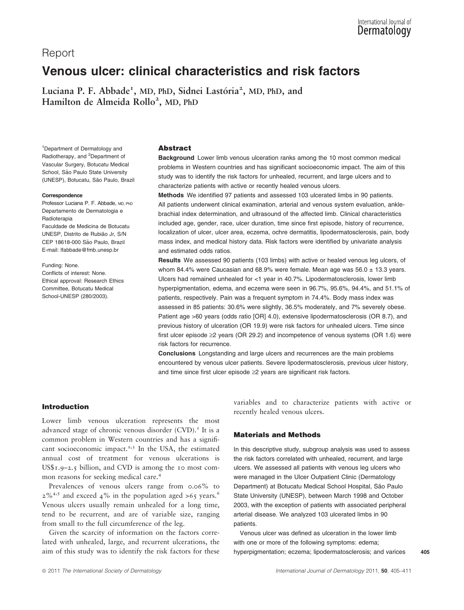## Report

# Venous ulcer: clinical characteristics and risk factors

Luciana P. F. Abbade<sup>1</sup>, MD, PhD, Sidnei Lastória<sup>2</sup>, MD, PhD, and Hamilton de Almeida Rollo<sup>2</sup>, MD, PhD

1 Department of Dermatology and Radiotherapy, and <sup>2</sup>Department of Vascular Surgery, Botucatu Medical School, São Paulo State University (UNESP), Botucatu, São Paulo, Brazil

#### **Correspondence**

Professor Luciana P. F. Abbade, MD, PhD Departamento de Dermatologia e Radioterapia Faculdade de Medicina de Botucatu UNESP, Distrito de Rubião Jr, S/N CEP 18618-000 São Paulo, Brazil E-mail: lfabbade@fmb.unesp.br

Funding: None. Conflicts of interest: None. Ethical approval: Research Ethics Committee, Botucatu Medical School-UNESP (280/2003).

#### Abstract

Background Lower limb venous ulceration ranks among the 10 most common medical problems in Western countries and has significant socioeconomic impact. The aim of this study was to identify the risk factors for unhealed, recurrent, and large ulcers and to characterize patients with active or recently healed venous ulcers.

Methods We identified 97 patients and assessed 103 ulcerated limbs in 90 patients. All patients underwent clinical examination, arterial and venous system evaluation, anklebrachial index determination, and ultrasound of the affected limb. Clinical characteristics included age, gender, race, ulcer duration, time since first episode, history of recurrence, localization of ulcer, ulcer area, eczema, ochre dermatitis, lipodermatosclerosis, pain, body mass index, and medical history data. Risk factors were identified by univariate analysis and estimated odds ratios.

Results We assessed 90 patients (103 limbs) with active or healed venous leg ulcers, of whom 84.4% were Caucasian and 68.9% were female. Mean age was  $56.0 \pm 13.3$  years. Ulcers had remained unhealed for <1 year in 40.7%. Lipodermatosclerosis, lower limb hyperpigmentation, edema, and eczema were seen in 96.7%, 95.6%, 94.4%, and 51.1% of patients, respectively. Pain was a frequent symptom in 74.4%. Body mass index was assessed in 85 patients: 30.6% were slightly, 36.5% moderately, and 7% severely obese. Patient age >60 years (odds ratio [OR] 4.0), extensive lipodermatosclerosis (OR 8.7), and previous history of ulceration (OR 19.9) were risk factors for unhealed ulcers. Time since first ulcer episode  $\geq$ 2 years (OR 29.2) and incompetence of venous systems (OR 1.6) were risk factors for recurrence.

Conclusions Longstanding and large ulcers and recurrences are the main problems encountered by venous ulcer patients. Severe lipodermatosclerosis, previous ulcer history, and time since first ulcer episode  $\geq$ 2 years are significant risk factors.

#### Introduction

Lower limb venous ulceration represents the most advanced stage of chronic venous disorder (CVD).<sup>1</sup> It is a common problem in Western countries and has a significant socioeconomic impact. $2,3$  In the USA, the estimated annual cost of treatment for venous ulcerations is  $US\$ <sub>1.9</sub>-2.5 billion, and CVD is among the 10 most common reasons for seeking medical care.<sup>4</sup>

Prevalences of venous ulcers range from 0.06% to  $2\%$ <sup>4,5</sup> and exceed 4% in the population aged >65 years.<sup>6</sup> Venous ulcers usually remain unhealed for a long time, tend to be recurrent, and are of variable size, ranging from small to the full circumference of the leg.

Given the scarcity of information on the factors correlated with unhealed, large, and recurrent ulcerations, the aim of this study was to identify the risk factors for these

variables and to characterize patients with active or recently healed venous ulcers.

## Materials and Methods

In this descriptive study, subgroup analysis was used to assess the risk factors correlated with unhealed, recurrent, and large ulcers. We assessed all patients with venous leg ulcers who were managed in the Ulcer Outpatient Clinic (Dermatology Department) at Botucatu Medical School Hospital, São Paulo State University (UNESP), between March 1998 and October 2003, with the exception of patients with associated peripheral arterial disease. We analyzed 103 ulcerated limbs in 90 patients.

Venous ulcer was defined as ulceration in the lower limb with one or more of the following symptoms: edema; hyperpigmentation; eczema; lipodermatosclerosis; and varices 405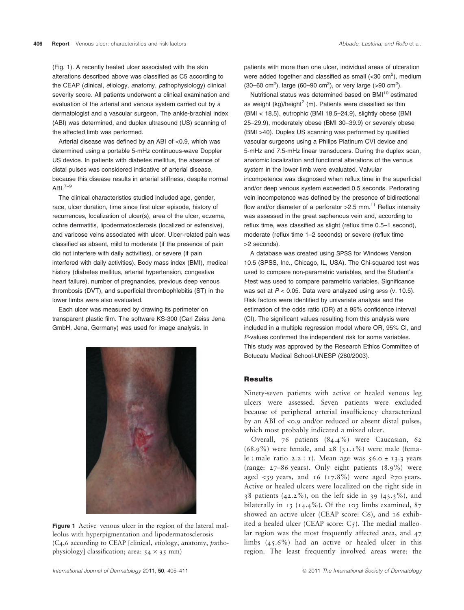(Fig. 1). A recently healed ulcer associated with the skin alterations described above was classified as C5 according to the CEAP (clinical, etiology, anatomy, pathophysiology) clinical severity score. All patients underwent a clinical examination and evaluation of the arterial and venous system carried out by a dermatologist and a vascular surgeon. The ankle-brachial index (ABI) was determined, and duplex ultrasound (US) scanning of the affected limb was performed.

Arterial disease was defined by an ABI of <0.9, which was determined using a portable 5-mHz continuous-wave Doppler US device. In patients with diabetes mellitus, the absence of distal pulses was considered indicative of arterial disease, because this disease results in arterial stiffness, despite normal  $ABI.7-9$ 

The clinical characteristics studied included age, gender, race, ulcer duration, time since first ulcer episode, history of recurrences, localization of ulcer(s), area of the ulcer, eczema, ochre dermatitis, lipodermatosclerosis (localized or extensive), and varicose veins associated with ulcer. Ulcer-related pain was classified as absent, mild to moderate (if the presence of pain did not interfere with daily activities), or severe (if pain interfered with daily activities). Body mass index (BMI), medical history (diabetes mellitus, arterial hypertension, congestive heart failure), number of pregnancies, previous deep venous thrombosis (DVT), and superficial thrombophlebitis (ST) in the lower limbs were also evaluated.

Each ulcer was measured by drawing its perimeter on transparent plastic film. The software KS-300 (Carl Zeiss Jena GmbH, Jena, Germany) was used for image analysis. In



Figure 1 Active venous ulcer in the region of the lateral malleolus with hyperpigmentation and lipodermatosclerosis (C4,6 according to CEAP [clinical, etiology, anatomy, pathophysiology] classification; area:  $54 \times 35$  mm)

patients with more than one ulcer, individual areas of ulceration were added together and classified as small  $\left($  < 30 cm<sup>2</sup> $\right)$ , medium  $(30-60 \text{ cm}^2)$ , large  $(60-90 \text{ cm}^2)$ , or very large  $(>90 \text{ cm}^2)$ .

Nutritional status was determined based on BMI<sup>10</sup> estimated as weight (kg)/height<sup>2</sup> (m). Patients were classified as thin (BMI < 18.5), eutrophic (BMI 18.5–24.9), slightly obese (BMI 25–29.9), moderately obese (BMI 30–39.9) or severely obese (BMI >40). Duplex US scanning was performed by qualified vascular surgeons using a Philips Platinum CVI device and 5-mHz and 7.5-mHz linear transducers. During the duplex scan, anatomic localization and functional alterations of the venous system in the lower limb were evaluated. Valvular incompetence was diagnosed when reflux time in the superficial and/or deep venous system exceeded 0.5 seconds. Perforating vein incompetence was defined by the presence of bidirectional flow and/or diameter of a perforator  $>2.5$  mm.<sup>11</sup> Reflux intensity was assessed in the great saphenous vein and, according to reflux time, was classified as slight (reflux time 0.5–1 second), moderate (reflux time 1–2 seconds) or severe (reflux time >2 seconds).

A database was created using SPSS for Windows Version 10.5 (SPSS, Inc., Chicago, IL, USA). The Chi-squared test was used to compare non-parametric variables, and the Student's t-test was used to compare parametric variables. Significance was set at  $P < 0.05$ . Data were analyzed using spss (v. 10.5). Risk factors were identified by univariate analysis and the estimation of the odds ratio (OR) at a 95% confidence interval (CI). The significant values resulting from this analysis were included in a multiple regression model where OR, 95% CI, and P-values confirmed the independent risk for some variables. This study was approved by the Research Ethics Committee of Botucatu Medical School-UNESP (280/2003).

### Results

Ninety-seven patients with active or healed venous leg ulcers were assessed. Seven patients were excluded because of peripheral arterial insufficiency characterized by an ABI of <0.9 and/or reduced or absent distal pulses, which most probably indicated a mixed ulcer.

Overall, 76 patients (84.4%) were Caucasian, 62  $(68.9\%)$  were female, and  $28$   $(31.1\%)$  were male (female : male ratio 2.2 : 1). Mean age was  $56.0 \pm 13.3$  years (range: 27–86 years). Only eight patients (8.9%) were aged <39 years, and 16 (17.8%) were aged  $\geq$ 70 years. Active or healed ulcers were localized on the right side in 38 patients (42.2%), on the left side in 39 (43.3%), and bilaterally in 13 (14.4%). Of the 103 limbs examined,  $87$ showed an active ulcer (CEAP score: C6), and 16 exhibited a healed ulcer (CEAP score:  $C_5$ ). The medial malleolar region was the most frequently affected area, and 47 limbs (45.6%) had an active or healed ulcer in this region. The least frequently involved areas were: the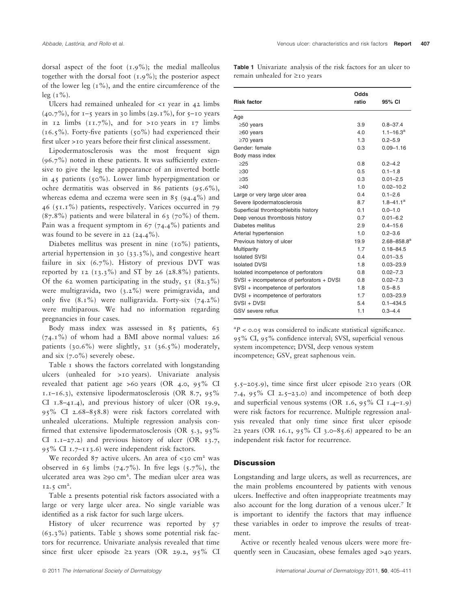dorsal aspect of the foot (1.9%); the medial malleolus together with the dorsal foot  $(1.9\%)$ ; the posterior aspect of the lower leg  $(1\%)$ , and the entire circumference of the leg  $(\frac{1}{2})$ .

Ulcers had remained unhealed for  $\lt$ I year in 42 limbs  $(40.7\%)$ , for 1–5 years in 30 limbs  $(29.1\%)$ , for 5–10 years in 12 limbs  $(11.7\%)$ , and for  $>10$  years in 17 limbs  $(16.5\%)$ . Forty-five patients (50%) had experienced their first ulcer >10 years before their first clinical assessment.

Lipodermatosclerosis was the most frequent sign  $(96.7%)$  noted in these patients. It was sufficiently extensive to give the leg the appearance of an inverted bottle in 45 patients (50%). Lower limb hyperpigmentation or ochre dermatitis was observed in 86 patients (95.6%), whereas edema and eczema were seen in 85 (94.4%) and 46 (51.1%) patients, respectively. Varices occurred in 79  $(87.8\%)$  patients and were bilateral in 63 (70%) of them. Pain was a frequent symptom in  $67$  (74.4%) patients and was found to be severe in 22 (24.4%).

Diabetes mellitus was present in nine (10%) patients, arterial hypertension in 30 (33.3%), and congestive heart failure in six  $(6.7\%)$ . History of previous DVT was reported by  $12$  ( $13.3\%$ ) and ST by  $26$  ( $28.8\%$ ) patients. Of the 62 women participating in the study, 51 (82.3%) were multigravida, two (3.2%) were primigravida, and only five (8.1%) were nulligravida. Forty-six (74.2%) were multiparous. We had no information regarding pregnancies in four cases.

Body mass index was assessed in 85 patients, 63  $(74.1\%)$  of whom had a BMI above normal values: 26 patients (30.6%) were slightly, 31 (36.5%) moderately, and six (7.0%) severely obese.

Table 1 shows the factors correlated with longstanding ulcers (unhealed for >10 years). Univariate analysis revealed that patient age  $>60$  years (OR 4.0, 95% CI 1.1–16.3), extensive lipodermatosclerosis (OR 8.7, 95% CI 1.8-41.4), and previous history of ulcer (OR 19.9, 95% CI 2.68–858.8) were risk factors correlated with unhealed ulcerations. Multiple regression analysis confirmed that extensive lipodermatosclerosis (OR 5.3, 95% CI 1.1-27.2) and previous history of ulcer (OR 13.7, 95% CI 1.7–113.6) were independent risk factors.

We recorded  $87$  active ulcers. An area of <30 cm<sup>2</sup> was observed in 65 limbs  $(74.7\%)$ . In five legs  $(5.7\%)$ , the ulcerated area was  $\geq$ 90 cm<sup>2</sup>. The median ulcer area was 12.5  $cm^2$ .

Table 2 presents potential risk factors associated with a large or very large ulcer area. No single variable was identified as a risk factor for such large ulcers.

History of ulcer recurrence was reported by 57  $(63.3\%)$  patients. Table 3 shows some potential risk factors for recurrence. Univariate analysis revealed that time since first ulcer episode  $\geq$ 2 years (OR 29.2, 95% CI Table 1 Univariate analysis of the risk factors for an ulcer to remain unhealed for  $\geq$ 10 years

|                                           | Odds  |                  |
|-------------------------------------------|-------|------------------|
| <b>Risk factor</b>                        | ratio | 95% CI           |
| Age                                       |       |                  |
| $\geq$ 50 years                           | 3.9   | $0.8 - 37.4$     |
| $\geq 60$ years                           | 4.0   | $1.1 - 16.3a$    |
| $\geq$ 70 years                           | 1.3   | $0.2 - 5.9$      |
| Gender: female                            | 0.3   | $0.09 - 1.16$    |
| Body mass index                           |       |                  |
| >25                                       | 0.8   | $0.2 - 4.2$      |
| >30                                       | 0.5   | $0.1 - 1.8$      |
| >35                                       | 0.3   | $0.01 - 2.5$     |
| >40                                       | 1.0   | $0.02 - 10.2$    |
| Large or very large ulcer area            | 0.4   | $0.1 - 2.6$      |
| Severe lipodermatosclerosis               | 8.7   | $1.8 - 41.1a$    |
| Superficial thrombophlebitis history      | 0.1   | $0.0 - 1.0$      |
| Deep venous thrombosis history            | 0.7   | $0.01 - 6.2$     |
| Diabetes mellitus                         | 2.9   | $0.4 - 15.6$     |
| Arterial hypertension                     | 1.0   | $0.2 - 3.6$      |
| Previous history of ulcer                 | 19.9  | $2.68 - 858.8^a$ |
| Multiparity                               | 1.7   | $0.18 - 84.5$    |
| <b>Isolated SVSI</b>                      | 0.4   | $0.01 - 3.5$     |
| <b>Isolated DVSI</b>                      | 1.8   | $0.03 - 23.9$    |
| Isolated incompetence of perforators      | 0.8   | $0.02 - 7.3$     |
| SVSI + incompetence of perforators + DVSI | 0.8   | $0.02 - 7.3$     |
| SVSI + incompetence of perforators        | 1.8   | $0.5 - 8.5$      |
| DVSI + incompetence of perforators        | 1.7   | $0.03 - 23.9$    |
| SVSI + DVSI                               | 5.4   | $0.1 - 434.5$    |
| GSV severe reflux                         | 1.1   | $0.3 - 4.4$      |

 ${}^{a}P$  < 0.05 was considered to indicate statistical significance. 95% CI, 95% confidence interval; SVSI, superficial venous system incompetence; DVSI, deep venous system incompetence; GSV, great saphenous vein.

5.5–205.9), time since first ulcer episode  $\geq$ 10 years (OR 7.4,  $95\%$  CI 2.5–23.0) and incompetence of both deep and superficial venous systems (OR  $1.6$ ,  $95\%$  CI  $1.4-1.9$ ) were risk factors for recurrence. Multiple regression analysis revealed that only time since first ulcer episode  $\geq$  years (OR 16.1, 95% CI 3.0–85.6) appeared to be an independent risk factor for recurrence.

#### **Discussion**

Longstanding and large ulcers, as well as recurrences, are the main problems encountered by patients with venous ulcers. Ineffective and often inappropriate treatments may also account for the long duration of a venous ulcer.<sup>7</sup> It is important to identify the factors that may influence these variables in order to improve the results of treatment.

Active or recently healed venous ulcers were more frequently seen in Caucasian, obese females aged >40 years.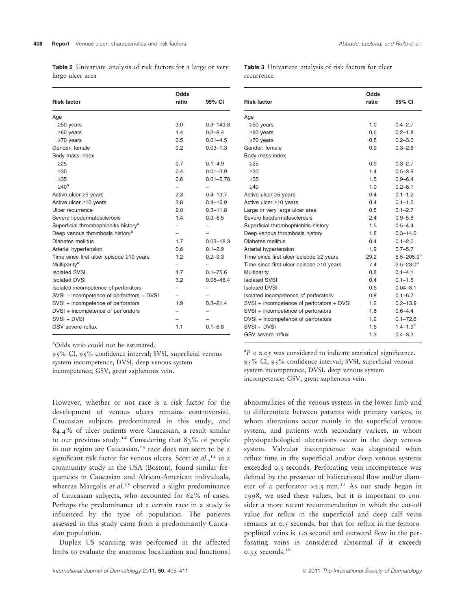odd a

Table 2 Univariate analysis of risk factors for a large or very large ulcer area

|            | <b>Table 3</b> Univariate analysis of risk factors for ulcer |  |  |  |
|------------|--------------------------------------------------------------|--|--|--|
| recurrence |                                                              |  |  |  |

|                                                   | Odds  |               |  |
|---------------------------------------------------|-------|---------------|--|
| <b>Risk factor</b>                                | ratio | 95% CI        |  |
| Age                                               |       |               |  |
| $\geq$ 50 years                                   | 3.0   | $0.3 - 143.3$ |  |
| $\geq 60$ years                                   | 1.4   | $0.2 - 8.4$   |  |
| $\geq$ 70 years                                   | 0.5   | $0.01 - 4.5$  |  |
| Gender: female                                    | 0.2   | $0.03 - 1.3$  |  |
| Body mass index                                   |       |               |  |
| >25                                               | 0.7   | $0.1 - 4.9$   |  |
| >30                                               | 0.4   | $0.01 - 3.9$  |  |
| >35                                               | 0.6   | $0.01 - 5.78$ |  |
| >40 <sup>a</sup>                                  |       |               |  |
| Active ulcer ≥5 years                             | 2.3   | $0.4 - 13.7$  |  |
| Active ulcer ≥10 years                            | 28    | $0.4 - 16.9$  |  |
| Ulcer recurrence                                  | 2.0   | $0.3 - 11.8$  |  |
| Severe lipodermatosclerosis                       | 1.4   | $0.3 - 6.5$   |  |
| Superficial thrombophlebitis history <sup>a</sup> |       |               |  |
| Deep venous thrombosis history <sup>a</sup>       |       |               |  |
| Diabetes mellitus                                 | 17    | $0.03 - 18.3$ |  |
| Arterial hypertension                             | 0 6   | $0.1 - 3.9$   |  |
| Time since first ulcer episode $\geq 10$ years    | 1.2   | $0.2 - 9.3$   |  |
| Multiparity <sup>a</sup>                          |       |               |  |
| <b>Isolated SVSI</b>                              | 47    | $0.1 - 75.6$  |  |
| <b>Isolated DVSI</b>                              | 3.2   | $0.05 - 46.4$ |  |
| Isolated incompetence of perforators              |       |               |  |
| SVSI + incompetence of perforators + DVSI         |       |               |  |
| SVSI + incompetence of perforators                | 1.9   | $0.3 - 21.4$  |  |
| DVSI + incompetence of perforators                |       |               |  |
| SVSI + DVSI                                       |       |               |  |
| GSV severe reflux                                 | 1.1   | $0.1 - 6.8$   |  |

a Odds ratio could not be estimated.

95% CI, 95% confidence interval; SVSI, superficial venous system incompetence; DVSI, deep venous system incompetence; GSV, great saphenous vein.

However, whether or not race is a risk factor for the development of venous ulcers remains controversial. Caucasian subjects predominated in this study, and 84.4% of ulcer patients were Caucasian, a result similar to our previous study.<sup>12</sup> Considering that  $83\%$  of people in our region are Caucasian, $13$  race does not seem to be a significant risk factor for venous ulcers. Scott et al.,<sup>14</sup> in a community study in the USA (Boston), found similar frequencies in Caucasian and African-American individuals, whereas Margolis et  $al.^{15}$  observed a slight predominance of Caucasian subjects, who accounted for 62% of cases. Perhaps the predominance of a certain race in a study is influenced by the type of population. The patients assessed in this study came from a predominantly Caucasian population.

Duplex US scanning was performed in the affected limbs to evaluate the anatomic localization and functional

| <b>Risk factor</b>                            | vaas<br>ratio | 95% CI          |
|-----------------------------------------------|---------------|-----------------|
|                                               |               |                 |
| Age                                           |               |                 |
| $\geq$ 50 years                               | 1.0           | $0.4 - 2.7$     |
| $\geq 60$ years                               | 0.6           | $0.2 - 1.8$     |
| $\geq$ 70 years                               | 0.8           | $0.2 - 3.0$     |
| Gender: female                                | 0.9           | $0.3 - 2.6$     |
| Body mass index                               |               |                 |
| >25                                           | 0.9           | $0.3 - 2.7$     |
| >30                                           | 1.4           | $0.5 - 3.9$     |
| >35                                           | 1.5           | $0.9 - 6.4$     |
| >40                                           | 1.0           | $0.2 - 8.1$     |
| Active ulcer ≥5 years                         | 0.4           | $0.1 - 1.2$     |
| Active ulcer ≥10 years                        | 0.4           | $0.1 - 1.5$     |
| Large or very large ulcer area                | $0.5^{\circ}$ | $0.1 - 2.7$     |
| Severe lipodermatosclerosis                   | 2.4           | $0.9 - 5.8$     |
| Superficial thrombophlebitis history          | 1.5           | $0.5 - 4.4$     |
| Deep venous thrombosis history                | 1.8           | $0.3 - 14.0$    |
| Diabetes mellitus                             | 0.4           | $0.1 - 2.0$     |
| Arterial hypertension                         | 1.9           | $0.7 - 5.7$     |
| Time since first ulcer episode $\geq$ 2 years | 29.2          | $5.5 - 205.9^a$ |
| Time since first ulcer episode ≥10 years      | 7.4           | $2.5 - 23.0^a$  |
| Multiparity                                   | 0.8           | $0.1 - 4.1$     |
| <b>Isolated SVSI</b>                          | 0.4           | $0.1 - 1.5$     |
| <b>Isolated DVSI</b>                          | 0.6           | $0.04 - 8.1$    |
| Isolated incompetence of perforators          | 0.8           | $0.1 - 5.7$     |
| SVSI + incompetence of perforators + DVSI     | 1.2           | $0.2 - 13.9$    |
| SVSI + incompetence of perforators            | 1.6           | $0.6 - 4.4$     |
| $DVSI + incomplete$ of perforators            | 1.2           | $0.1 - 72.6$    |
| SVSI + DVSI                                   | 1.6           | $1.4 - 1.9a$    |
| <b>GSV</b> severe reflux                      | 1.3           | $0.4 - 3.3$     |

 ${}^{a}P$  < 0.05 was considered to indicate statistical significance. 95% CI, 95% confidence interval; SVSI, superficial venous system incompetence; DVSI, deep venous system incompetence; GSV, great saphenous vein.

abnormalities of the venous system in the lower limb and to differentiate between patients with primary varices, in whom alterations occur mainly in the superficial venous system, and patients with secondary varices, in whom physiopathological alterations occur in the deep venous system. Valvular incompetence was diagnosed when reflux time in the superficial and/or deep venous systems exceeded 0.5 seconds. Perforating vein incompetence was defined by the presence of bidirectional flow and/or diameter of a perforator  $>2.5$  mm.<sup>11</sup> As our study began in 1998, we used these values, but it is important to consider a more recent recommendation in which the cut-off value for reflux in the superficial and deep calf veins remains at 0.5 seconds, but that for reflux in the femoropopliteal veins is 1.0 second and outward flow in the perforating veins is considered abnormal if it exceeds  $0.35$  seconds.<sup>16</sup>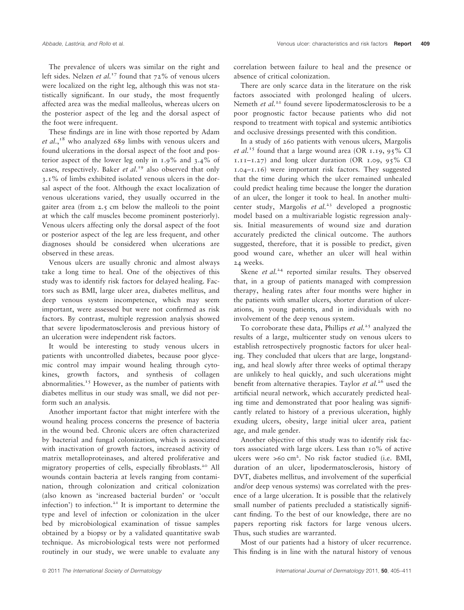The prevalence of ulcers was similar on the right and left sides. Nelzen *et al.*<sup>17</sup> found that  $72\%$  of venous ulcers were localized on the right leg, although this was not statistically significant. In our study, the most frequently affected area was the medial malleolus, whereas ulcers on the posterior aspect of the leg and the dorsal aspect of the foot were infrequent.

These findings are in line with those reported by Adam et al.,<sup>18</sup> who analyzed 689 limbs with venous ulcers and found ulcerations in the dorsal aspect of the foot and posterior aspect of the lower leg only in 1.9% and 3.4% of cases, respectively. Baker et  $al.^{19}$  also observed that only 3.1% of limbs exhibited isolated venous ulcers in the dorsal aspect of the foot. Although the exact localization of venous ulcerations varied, they usually occurred in the gaiter area (from 2.5 cm below the malleoli to the point at which the calf muscles become prominent posteriorly). Venous ulcers affecting only the dorsal aspect of the foot or posterior aspect of the leg are less frequent, and other diagnoses should be considered when ulcerations are observed in these areas.

Venous ulcers are usually chronic and almost always take a long time to heal. One of the objectives of this study was to identify risk factors for delayed healing. Factors such as BMI, large ulcer area, diabetes mellitus, and deep venous system incompetence, which may seem important, were assessed but were not confirmed as risk factors. By contrast, multiple regression analysis showed that severe lipodermatosclerosis and previous history of an ulceration were independent risk factors.

It would be interesting to study venous ulcers in patients with uncontrolled diabetes, because poor glycemic control may impair wound healing through cytokines, growth factors, and synthesis of collagen abnormalities.<sup>15</sup> However, as the number of patients with diabetes mellitus in our study was small, we did not perform such an analysis.

Another important factor that might interfere with the wound healing process concerns the presence of bacteria in the wound bed. Chronic ulcers are often characterized by bacterial and fungal colonization, which is associated with inactivation of growth factors, increased activity of matrix metalloproteinases, and altered proliferative and migratory properties of cells, especially fibroblasts.<sup>20</sup> All wounds contain bacteria at levels ranging from contamination, through colonization and critical colonization (also known as 'increased bacterial burden' or 'occult infection') to infection. $2<sup>1</sup>$  It is important to determine the type and level of infection or colonization in the ulcer bed by microbiological examination of tissue samples obtained by a biopsy or by a validated quantitative swab technique. As microbiological tests were not performed routinely in our study, we were unable to evaluate any correlation between failure to heal and the presence or absence of critical colonization.

There are only scarce data in the literature on the risk factors associated with prolonged healing of ulcers. Nemeth et  $al.^{22}$  found severe lipodermatosclerosis to be a poor prognostic factor because patients who did not respond to treatment with topical and systemic antibiotics and occlusive dressings presented with this condition.

In a study of 260 patients with venous ulcers, Margolis *et al.*<sup>15</sup> found that a large wound area (OR 1.19, 95% CI 1.11–1.27) and long ulcer duration (OR 1.09, 95% CI 1.04–1.16) were important risk factors. They suggested that the time during which the ulcer remained unhealed could predict healing time because the longer the duration of an ulcer, the longer it took to heal. In another multicenter study, Margolis et al.<sup>23</sup> developed a prognostic model based on a multivariable logistic regression analysis. Initial measurements of wound size and duration accurately predicted the clinical outcome. The authors suggested, therefore, that it is possible to predict, given good wound care, whether an ulcer will heal within 24 weeks.

Skene et al.<sup>24</sup> reported similar results. They observed that, in a group of patients managed with compression therapy, healing rates after four months were higher in the patients with smaller ulcers, shorter duration of ulcerations, in young patients, and in individuals with no involvement of the deep venous system.

To corroborate these data, Phillips et  $al.^{25}$  analyzed the results of a large, multicenter study on venous ulcers to establish retrospectively prognostic factors for ulcer healing. They concluded that ulcers that are large, longstanding, and heal slowly after three weeks of optimal therapy are unlikely to heal quickly, and such ulcerations might benefit from alternative therapies. Taylor *et al.*<sup>26</sup> used the artificial neural network, which accurately predicted healing time and demonstrated that poor healing was significantly related to history of a previous ulceration, highly exuding ulcers, obesity, large initial ulcer area, patient age, and male gender.

Another objective of this study was to identify risk factors associated with large ulcers. Less than 10% of active ulcers were >60 cm<sup>2</sup>. No risk factor studied (i.e. BMI, duration of an ulcer, lipodermatosclerosis, history of DVT, diabetes mellitus, and involvement of the superficial and/or deep venous systems) was correlated with the presence of a large ulceration. It is possible that the relatively small number of patients precluded a statistically significant finding. To the best of our knowledge, there are no papers reporting risk factors for large venous ulcers. Thus, such studies are warranted.

Most of our patients had a history of ulcer recurrence. This finding is in line with the natural history of venous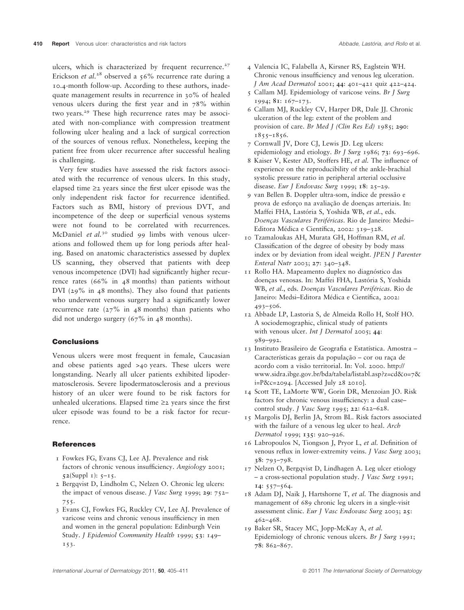ulcers, which is characterized by frequent recurrence. $27$ Erickson et al.<sup>28</sup> observed a  $56\%$  recurrence rate during a 10.4-month follow-up. According to these authors, inadequate management results in recurrence in 30% of healed venous ulcers during the first year and in 78% within two years.<sup>29</sup> These high recurrence rates may be associated with non-compliance with compression treatment following ulcer healing and a lack of surgical correction of the sources of venous reflux. Nonetheless, keeping the patient free from ulcer recurrence after successful healing is challenging.

Very few studies have assessed the risk factors associated with the recurrence of venous ulcers. In this study, elapsed time  $\geq$  years since the first ulcer episode was the only independent risk factor for recurrence identified. Factors such as BMI, history of previous DVT, and incompetence of the deep or superficial venous systems were not found to be correlated with recurrences. McDaniel et  $al.^{30}$  studied 99 limbs with venous ulcerations and followed them up for long periods after healing. Based on anatomic characteristics assessed by duplex US scanning, they observed that patients with deep venous incompetence (DVI) had significantly higher recurrence rates (66% in 48 months) than patients without DVI (29% in 48 months). They also found that patients who underwent venous surgery had a significantly lower recurrence rate  $(27\%$  in 48 months) than patients who did not undergo surgery (67% in 48 months).

#### Conclusions

Venous ulcers were most frequent in female, Caucasian and obese patients aged >40 years. These ulcers were longstanding. Nearly all ulcer patients exhibited lipodermatosclerosis. Severe lipodermatosclerosis and a previous history of an ulcer were found to be risk factors for unhealed ulcerations. Elapsed time  $\geq$  years since the first ulcer episode was found to be a risk factor for recurrence.

#### References

- 1 Fowkes FG, Evans CJ, Lee AJ. Prevalence and risk factors of chronic venous insufficiency. Angiology 2001;  $52(Supp11): 5-15.$
- 2 Bergqvist D, Lindholm C, Nelzen O. Chronic leg ulcers: the impact of venous disease. J Vasc Surg 1999; 29: 752– 755.
- 3 Evans CJ, Fowkes FG, Ruckley CV, Lee AJ. Prevalence of varicose veins and chronic venous insufficiency in men and women in the general population: Edinburgh Vein Study. J Epidemiol Community Health 1999; 53: 149– 153.
- 4 Valencia IC, Falabella A, Kirsner RS, Eaglstein WH. Chronic venous insufficiency and venous leg ulceration. J Am Acad Dermatol 2001; 44: 401–421 quiz 422–424.
- 5 Callam MJ. Epidemiology of varicose veins. Br J Surg 1994; 81: 167–173.
- 6 Callam MJ, Ruckley CV, Harper DR, Dale JJ. Chronic ulceration of the leg: extent of the problem and provision of care. Br Med J (Clin Res Ed) 1985; 290:  $1855 - 1856$ .
- 7 Cornwall JV, Dore CJ, Lewis JD. Leg ulcers: epidemiology and etiology. Br J Surg 1986; 73: 693–696.
- 8 Kaiser V, Kester AD, Stoffers HE, et al. The influence of experience on the reproducibility of the ankle-brachial systolic pressure ratio in peripheral arterial occlusive disease. Eur J Endovasc Surg 1999; 18: 25–29.
- 9 van Bellen B. Doppler ultra-som, índice de pressão e prova de esforço na avaliação de doenças arteriais. In: Maffei FHA, Lastória S, Yoshida WB, et al., eds. Doenças Vasculares Periféricas. Rio de Janeiro: Medsi-Editora Médica e Científica, 2002: 319–328.
- 10 Tzamaloukas AH, Murata GH, Hoffman RM, et al. Classification of the degree of obesity by body mass index or by deviation from ideal weight. JPEN J Parenter Enteral Nutr 2003; 27: 340–348.
- 11 Rollo HA. Mapeamento duplex no diagnóstico das doenças venosas. In: Maffei FHA, Lastória S, Yoshida WB, et al., eds. Doencas Vasculares Periféricas. Rio de Janeiro: Medsi–Editora Médica e Científica, 2002: 493–506.
- 12 Abbade LP, Lastoria S, de Almeida Rollo H, Stolf HO. A sociodemographic, clinical study of patients with venous ulcer. Int J Dermatol 2005; 44: 989–992.
- 13 Instituto Brasileiro de Geografia e Estatística. Amostra Características gerais da população – cor ou raça de acordo com a visão territorial. In: Vol. 2000. http:// www.sidra.ibge.gov.br/bda/tabela/listabl.asp?z=cd&o=7& i=P&c=2094. [Accessed July 28 2010].
- 14 Scott TE, LaMorte WW, Gorin DR, Menzoian JO. Risk factors for chronic venous insufficiency: a dual case– control study. J Vasc Surg 1995; 22: 622–628.
- 15 Margolis DJ, Berlin JA, Strom BL. Risk factors associated with the failure of a venous leg ulcer to heal. Arch Dermatol 1999; 135: 920–926.
- 16 Labropoulos N, Tiongson J, Pryor L, et al. Definition of venous reflux in lower-extremity veins. J Vasc Surg 2003; 38: 793–798.
- 17 Nelzen O, Bergqvist D, Lindhagen A. Leg ulcer etiology – a cross-sectional population study. J Vasc Surg 1991; 14: 557–564.
- 18 Adam DJ, Naik J, Hartshorne T, et al. The diagnosis and management of 689 chronic leg ulcers in a single-visit assessment clinic. Eur J Vasc Endovasc Surg 2003; 25: 462–468.
- 19 Baker SR, Stacey MC, Jopp-McKay A, et al. Epidemiology of chronic venous ulcers. Br J Surg 1991; 78: 862–867.